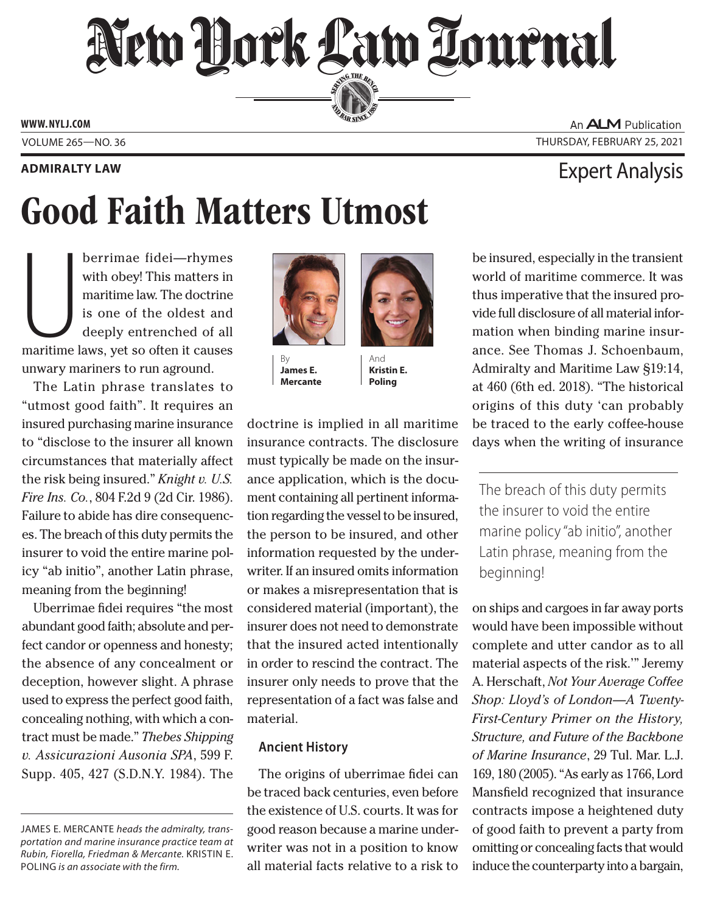# New Hork Law Lournal SERVING THE BEN

**ED BAR SINCE 188** 

**www. NYLJ.com**

## Good Faith Matters Utmost

berrimae fidei—rhymes<br>with obey! This matters in<br>maritime law. The doctrine<br>is one of the oldest and<br>deeply entrenched of all<br>maritime laws, yet so often it causes berrimae fidei*—*rhymes with obey! This matters in maritime law. The doctrine is one of the oldest and deeply entrenched of all unwary mariners to run aground.

The Latin phrase translates to "utmost good faith". It requires an insured purchasing marine insurance to "disclose to the insurer all known circumstances that materially affect the risk being insured." *Knight v. U.S. Fire Ins. Co.*, 804 F.2d 9 (2d Cir. 1986). Failure to abide has dire consequences. The breach of this duty permits the insurer to void the entire marine policy "ab initio", another Latin phrase, meaning from the beginning!

Uberrimae fidei requires "the most abundant good faith; absolute and perfect candor or openness and honesty; the absence of any concealment or deception, however slight. A phrase used to express the perfect good faith, concealing nothing, with which a contract must be made." *Thebes Shipping v. Assicurazioni Ausonia SPA*, 599 F. Supp. 405, 427 (S.D.N.Y. 1984). The



By **James E. Mercante**

And **Kristin E. Poling**

doctrine is implied in all maritime insurance contracts. The disclosure must typically be made on the insurance application, which is the document containing all pertinent information regarding the vessel to be insured, the person to be insured, and other information requested by the underwriter. If an insured omits information or makes a misrepresentation that is considered material (important), the insurer does not need to demonstrate that the insured acted intentionally in order to rescind the contract. The insurer only needs to prove that the representation of a fact was false and material.

### **Ancient History**

The origins of uberrimae fidei can be traced back centuries, even before the existence of U.S. courts. It was for good reason because a marine underwriter was not in a position to know all material facts relative to a risk to

An **ALM** Publication Volume 265—NO. 36 Thursday, February 25, 2021

### Expert Analysis **Admiralty Law**

be insured, especially in the transient world of maritime commerce. It was thus imperative that the insured provide full disclosure of all material information when binding marine insurance. See Thomas J. Schoenbaum, Admiralty and Maritime Law §19:14, at 460 (6th ed. 2018). "The historical origins of this duty 'can probably be traced to the early coffee-house days when the writing of insurance

The breach of this duty permits the insurer to void the entire marine policy "ab initio", another Latin phrase, meaning from the beginning!

on ships and cargoes in far away ports would have been impossible without complete and utter candor as to all material aspects of the risk.'" Jeremy A. Herschaft, *Not Your Average Coffee Shop: Lloyd's of London—A Twenty-First-Century Primer on the History, Structure, and Future of the Backbone of Marine Insurance*, 29 Tul. Mar. L.J. 169, 180 (2005). "As early as 1766, Lord Mansfield recognized that insurance contracts impose a heightened duty of good faith to prevent a party from omitting or concealing facts that would induce the counterparty into a bargain,

James E. Mercante *heads the admiralty, transportation and marine insurance practice team at Rubin, Fiorella, Friedman & Mercante.* Kristin E. Poling *is an associate with the firm.*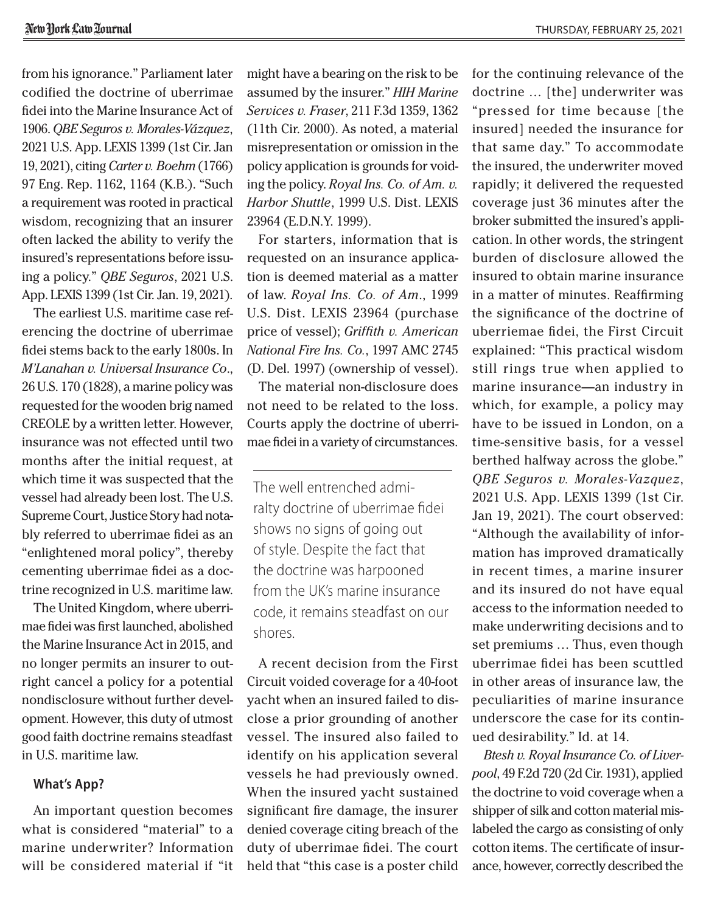from his ignorance." Parliament later codified the doctrine of uberrimae fidei into the Marine Insurance Act of 1906. *QBE Seguros v. Morales-Vázquez*, 2021 U.S. App. LEXIS 1399 (1st Cir. Jan 19, 2021), citing *Carter v. Boehm* (1766) 97 Eng. Rep. 1162, 1164 (K.B.). "Such a requirement was rooted in practical wisdom, recognizing that an insurer often lacked the ability to verify the insured's representations before issuing a policy." *QBE Seguros*, 2021 U.S. App. LEXIS 1399 (1st Cir. Jan. 19, 2021).

The earliest U.S. maritime case referencing the doctrine of uberrimae fidei stems back to the early 1800s. In *M'Lanahan v. Universal Insurance Co*., 26 U.S. 170 (1828), a marine policy was requested for the wooden brig named CREOLE by a written letter. However, insurance was not effected until two months after the initial request, at which time it was suspected that the vessel had already been lost. The U.S. Supreme Court, Justice Story had notably referred to uberrimae fidei as an "enlightened moral policy", thereby cementing uberrimae fidei as a doctrine recognized in U.S. maritime law.

The United Kingdom, where uberrimae fidei was first launched, abolished the Marine Insurance Act in 2015, and no longer permits an insurer to outright cancel a policy for a potential nondisclosure without further development. However, this duty of utmost good faith doctrine remains steadfast in U.S. maritime law.

#### **What's App?**

An important question becomes what is considered "material" to a marine underwriter? Information will be considered material if "it might have a bearing on the risk to be assumed by the insurer." *HIH Marine Services v. Fraser*, 211 F.3d 1359, 1362 (11th Cir. 2000). As noted, a material misrepresentation or omission in the policy application is grounds for voiding the policy. *Royal Ins. Co. of Am. v. Harbor Shuttle*, 1999 U.S. Dist. LEXIS 23964 (E.D.N.Y. 1999).

For starters, information that is requested on an insurance application is deemed material as a matter of law. *Royal Ins. Co. of Am*., 1999 U.S. Dist. LEXIS 23964 (purchase price of vessel); *Griffith v. American National Fire Ins. Co.*, 1997 AMC 2745 (D. Del. 1997) (ownership of vessel).

The material non-disclosure does not need to be related to the loss. Courts apply the doctrine of uberrimae fidei in a variety of circumstances.

The well entrenched admiralty doctrine of uberrimae fidei shows no signs of going out of style. Despite the fact that the doctrine was harpooned from the UK's marine insurance code, it remains steadfast on our shores.

A recent decision from the First Circuit voided coverage for a 40-foot yacht when an insured failed to disclose a prior grounding of another vessel. The insured also failed to identify on his application several vessels he had previously owned. When the insured yacht sustained significant fire damage, the insurer denied coverage citing breach of the duty of uberrimae fidei. The court held that "this case is a poster child

for the continuing relevance of the doctrine … [the] underwriter was "pressed for time because [the insured] needed the insurance for that same day." To accommodate the insured, the underwriter moved rapidly; it delivered the requested coverage just 36 minutes after the broker submitted the insured's application. In other words, the stringent burden of disclosure allowed the insured to obtain marine insurance in a matter of minutes. Reaffirming the significance of the doctrine of uberriemae fidei, the First Circuit explained: "This practical wisdom still rings true when applied to marine insurance—an industry in which, for example, a policy may have to be issued in London, on a time-sensitive basis, for a vessel berthed halfway across the globe." *QBE Seguros v. Morales-Vazquez*, 2021 U.S. App. LEXIS 1399 (1st Cir. Jan 19, 2021). The court observed: "Although the availability of information has improved dramatically in recent times, a marine insurer and its insured do not have equal access to the information needed to make underwriting decisions and to set premiums … Thus, even though uberrimae fidei has been scuttled in other areas of insurance law, the peculiarities of marine insurance underscore the case for its continued desirability." Id. at 14.

*Btesh v. Royal Insurance Co. of Liverpool*, 49 F.2d 720 (2d Cir. 1931), applied the doctrine to void coverage when a shipper of silk and cotton material mislabeled the cargo as consisting of only cotton items. The certificate of insurance, however, correctly described the